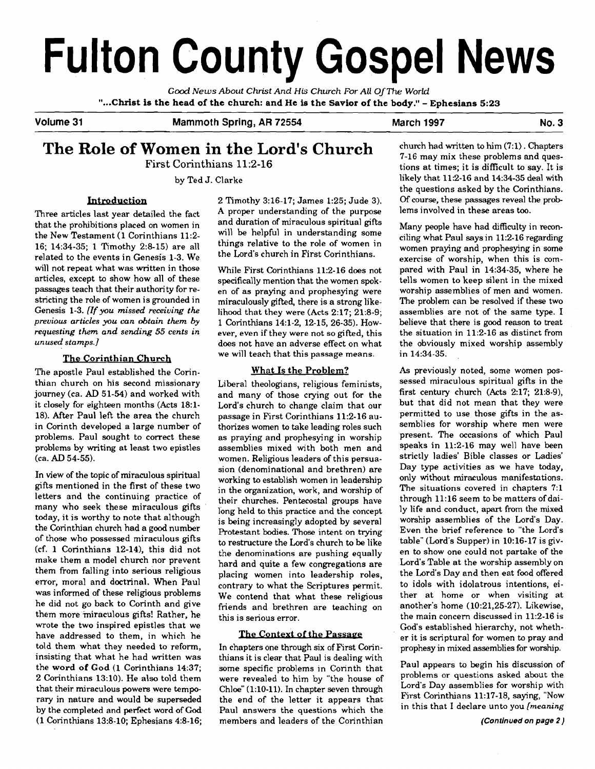# **Fulton County Gospel News**

**Good News** *About Christ And* His *Church For All* **Of The** *World*  **"...Christ is the head of the church: and He is the Savior of the body!'** - **Ephesians <sup>523</sup>**

**Volume 31 Mammoth Spring, AR 72554 March 1997 No. 3** 

# **The Role of Women in the Lord's Church**  First Corinthians **11:2-16**

by Ted J. Clarke

# **Introduction**

Three articles last year detailed the fact that the prohibitions placed on women in the New Testament **(1** Corinthians **11:2- 16; 14:34-35; 1** Timothy **2:8-15)** are all related to the events in Genesis **1-3.** We will not repeat what was written in those articles, except to show how all of these passages teach that their authority for restricting the role of women is grounded in Genesis **1-3.** *(If you missed receiving the previous articles you can obtain them by requesting them and sending 55 cents in unused stamps.]* 

# **The Corinthian Church**

The apostle Paul established the Corinthian church on his second missionary journey (ca. AD **51-54)** and worked with it closely for eighteen months (Acts **18:l-18).** After Paul left the area the church in Corinth developed a large number of problems. Paul sought to correct these problems by writing at least two epistles (ca. AD **54-55).** 

In view of the topic of miraculous spiritual gifts mentioned in the first of these two letters and the continuing practice of many who seek these miraculous gifts today, it is worthy to note that although the Corinthian church had a good number of those who possessed miraculous gifts (cf. **1** Corinthians **12-14),** this did not make them a model church nor prevent them from falling into serious religious error, moral and doctrinal. When Paul was informed of these religious problems he did not go back to Corinth and give them more miraculous gifts! Rather, he wrote the two inspired epistles that we have addressed to them, in which he told them what they needed to reform, insisting that what he had written was the **word of God (1** Corinthians **14:37; 2** Corinthians **13:lO).** He also told them that their miraculous powers were temporary in nature and would be superseded by the completed and perfect word of God **(1** Corinthians **13:8-10;** Ephesians **4:8-16;**  **2** Timothy **3:16-17;** James **1:25;** Jude **3). A** proper understanding of the purpose and duration of miraculous spiritual gifts will be helpful in understanding some things relative to the role of women in the Lord's church in First Corinthians.

While First Corinthians **11:2-16** does not specifically mention that the women spoken of as praying and prophesying were miraculously gifted, there is a strong likelihood that they were (Acts **2:17; 21:8-9; 1** Corinthians **14:l-2, 12-15, 26-35).** However, even if they were not so gifted, this does not have an adverse effect on what we will teach that this passage means.

# What Is the Problem?

Liberal theologians, religious feminists, and many of those crying out for the Lord's church to change claim that our passage in First Corinthians **11:2-16** authorizes women to take leading roles such as praying and prophesying in worship assemblies mixed with both men and women. Religious leaders of this persuasion (denominational and brethren) are working to establish women in leadership in the organization, work, and worship of their churches. Pentecostal groups have long held to this practice and the concept is being increasingly adopted by several Protestant bodies. Those intent on trying to restructure the Lord's church to be like the denominations are pushing equally hard and quite a few congregations are placing women into leadership roles, contrary to what the Scriptures permit. We contend that what these religious friends and brethren are teaching on this is serious error. (denominational and brethren) are<br>
ing to establish women in leadership<br>
e organization, work, and worship of<br>
the expection of the strate of this practice and the concept<br>
ing increasingly adopted by several<br>
stant bodie

In chapters one through six of First Corinthians it is clear that Paul is dealing with some specific problems in Corinth that were revealed to him by "the house of Chloe" **(1:lO-11).** In chapter seven through the end of the letter it appears that Paul answers the questions which the members and leaders of the Corinthian

church had written to him **(7:l).** Chapters **7-16** may mix these problems and questions at times; it is difficult to say. It is likely that **11:2-16** and **14:34-35** deal with the questions asked by the Corinthians. Of course, these passages reveal the problems involved in these areas **too.** 

Many people have had difficulty in reconciling what Paul says in **11:2-16** regarding women praying and prophesying in some exercise of worship, when this is compared with Paul in **14:34-35,** where he tells women to keep silent in the mixed worship assemblies of men and women. The problem can be resolved if these two assemblies are not of the same type. I believe that there is good reason to treat the situation in **11:2-16** as distinct from the obviously mixed worship assembly in **14:34-35.** 

As previously noted, some women possessed miraculous spiritual gifts in the first century church (Acts **217; 21:8-9),**  but that did not mean that they were permitted to use those gifts in the assemblies for worship where men were present. The occasions of which Paul speaks in **11:2-16** may well have been strictly ladies' Bible classes or Ladies' Day type activities as we have today, only without miraculous manifestations. The situations covered in chapters **7:l**  through **11:16** seem to be matters of daily life and conduct, apart from the mixed worship assemblies of the Lord's Day. Even the brief reference to "the Lord's table" (Lord's Supper) in **10:16-17** is given to show one could not partake of the Lord's Table at the worship assembly on the Lord's Day and then eat food offered to idols with idolatrous intentions, either at home or when visiting at another's home **(10:21,25-27).** Likewise, the main concern discussed in **11:2-16** is God's established hierarchy, not whether it is scriptural for women to pray and prophesy in mixed assemblies for worship.

Paul appears to begin his discussion of problems or questions asked about the Lord's Day assemblies for worship with First Corinthians **11:17-18,** saying, "Now in this that I declare unto you *[meaning*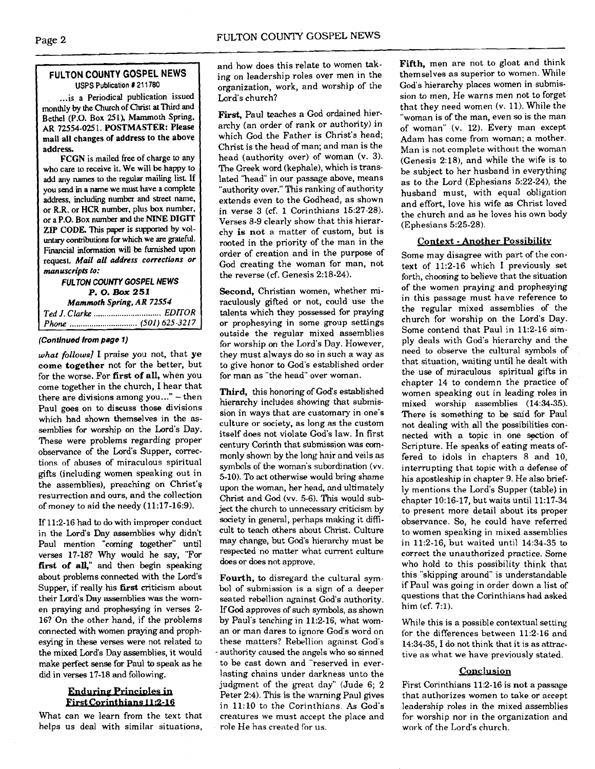# **FULTON COUNTY GOSPEL NEWS**  USPS Publication **1** 21 1780

... is a Periodical publication issued monthly by the Church of Christ at Third and Bethel (P.O. Box 251), Mammoth Spring, AR **72554-025** 1. POSTMASTER: Please mail all changes of address to the above address.

**FCGN** is mailed free of charge to any who care to receive it. **We** will be happy to add any names to the regular mailing list If you send in a name we must have a complete address, including number and street name, or **R.R.** or **HCR** number, plus box number. or a P.O. Box number and he NINE **DIGIT**  ZIP **CODE.** This paper is **supporred** by vol**untary** contributiom for which we are grateful. Financial information will be **furnished** upon request. **Mail all address corrections or manuscripts to:** 

# **FULTON COUNTY GOSPEL NEWS P. 0. Box 251 Mammoth Spring, AR 72554**  *Ted J. Clarke* ............................... *EDITOR Phone* ............................... **(501)** *625-321* **7**

# **(Continued from page 1)**

*what follows] I* praise you not, that ye **come together** not for the better, but for the worse. For **first of** all, when you come together in the church, 1 hear that there are divisions among you..."  $-$  then Paul goes on to discuss those divisions which had shown themselves in the **as**semblies for worship on the Lord's Day. These were problems regarding proper observance of the Lord's Supper, corrections of abuses of miraculous spiritual gifts (including women speaking out in the assemblies), preaching on Christ's resurrection and ours, and the collection of money to aid the needy (11:17-16:9).

If 11:2-16 had to do with improper conduct in the Lord's Day assemblies why didn't Paul mention "coming together" until verses 17-18? Why would he say, "For first of all," and then begin speaking about problems connected with the Lord's Supper, if really his **first** criticism about their Lord's Day assemblies was the women praying and prophesying in verses 2- 16? On the other hand, if the problems connected with women praying and prophesying in these verses were not related to the mixed Lord's Day assemblies, it would make perfect sense for Paul to speak as he did in verses 17-18 and following.

# **Enduring Principles in** First Corinthians 11:2-16

What can we learn from the text that helps us deal with similar situations, and how does this relate to women taking on leadership roles over men in the organization, work, and worship of the Lord's church?

**First,** Paul teaches a God ordained hierarchy (an order of rank or authority) in which God the Father is Christ's head; Christ is the head of man; and man is the head (authority over) of woman (v. 3). The Greek word (kephale), which is translated "head" in our passage above, means "authority over." This ranking of authority extends even to the Godhead, as shown in verse 3 (cf. 1 Corinthians 15:27-28). Verses 8-9 clearly show that this hierarchy is **not** a matter of custom, but is rooted in the priority of the man in the order of creation and in the purpose of God creating the woman for man, not the reverse (cf. Genesis 2:18-24).

**Second,** Christian women, whether miraculously gifted or not, could use the talents which they possessed for praying or prophesying in some group settings outside the regular mixed assemblies for worship on the Lord's Day. However, they must always do so in such a way as to give honor to God's established order for man as "the head" over woman.

**Third,** this honoring of God's established hierarchy includes showing that submission in ways that are customary in one's culture or society, as long as the custom itself does not violate God's law. In first century Corinth that submission was commonly shown by the long hair and veils as symbols of the woman's subordination **(w.**  5-10). To act otherwise would bring shame upon the woman, her head, and ultimately Christ and God (vv. 5-6). This would subject the church to unnecessary criticism by society in general, perhaps making it dificult to teach others about Christ. Culture may change, but God's hierarchy must be respected no matter what current culture does or does not approve.

Fourth, to disregard the cultural symbol of submission is a sign of a deeper seated rebellion against God's authority. If **God** approves of such symbols, as shown by Paul's teaching in 11:2-16, what woman or man dares to ignore God's word on these matters? Rebellion against God's - authority caused the angels who so sinned to be cast down and "reserved in everlasting chains under darkness unto the judgment of the great day" (Jude 6; 2 Peter 2:4). This is the warning Paul gives in 1l:lO to the Corinthians. As God's creatures we must accept the place and role He **has** created fior us.

Fifth, men are not to gloat and think themselves as superior to women. While God's hierarchy places women in submission to men, He warns men not to forget that they need women (v. 11). While the "woman is of the man, even so is the man of woman" (v. 12). Every man except Adam has come from woman; a mother. Man is not complete without the woman (Genesis 2:18), and while the wife is to be subject to her husband in everything as to the Lord (Ephesians 5:22-24), the husband must, with equal obligation and effort, love his wife as Christ loved the church and as he loves his own body (Ephesians 5:25-28).

# **Context** - **Another Possibility**

Some may disagree with part of the context of 11:2-16 which I previously set forth, choosing to believe that the situation of the women praying and prophesying in this passage must have reference to the regular mixed assemblies of the church for worship on the Lord's Day. Some contend that Paul in 11:2-16 simply deals with God's hierarchy and the need to observe the cultural symbols of that situation, waiting until he dealt with the use of miraculous spiritual gifts in chapter 14 to condemn the practice of women speaking out in leading roles in mixed worship assemblies (14:34-35). There is something to be said for Paul not dealing with all the possibilities connected with a topic in one section of Scripture. He speaks of eating meats offered to idols in chapters 8 and 10, interrupting that topic with a defense of his apostleship in chapter 9. He also briefly mentions the Lord's Supper (table) in chapter 10:16-17, but waits until 11:17-34 to present more detail about its proper observance. So, he could have referred to women speaking in mixed assemblies in 11:2-16, but waited until 14:34-35 to correct the unauthorized practice. Some who hold to this possibility think that this "skipping around" is understandable if Paul was going in order down a list of questions that the Corinthians had asked him (cf. 7:l).

While this is a possible contextual setting for the differences between 11:2-16 and 14:34-35, I do not think that it is as attractive as what we have previously stated.

# **Conclusion**

First Corinthians 11:2-16 is **not** a passage that authorizes women to take or accept leadership mles in the mixed assemblies for worship nor in the organization and work of the Lord's church.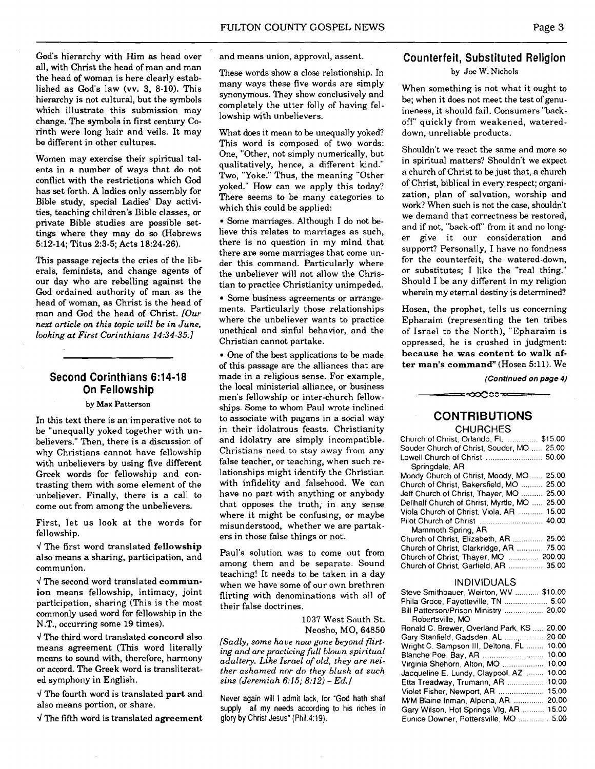God's hierarchy with Him as head over all, with Christ the head of man and man the head of woman is here clearly established as God's law (vv. 3, 8-10). This hierarchy is not cultural, but the symbols which illustrate this submission may change. The symbols in first century Corinth were long hair and veils. It may be different in other cultures.

Women may exercise their spiritual talents in a number of ways that do not conflict with the restrictions which God has set forth. A ladies only assembly for Bible study, special Ladies' Day activities, teaching children's Bible classes, or private Bible studies are possible settings where they may do so (Hebrews 5:12-14; Titus 2:3-5; Acts 18:24-26).

This passage rejects the cries of the liberals, feminists, and change agents of our day who are rebelling against the God ordained authority of man as the head of woman, as Christ is the head of man and God the head of Christ. *[Our*  **next** *article on this topic will be in June, looking at First Corinthians 14:34-35.1* 

# **Second Corinthians 6:14-18 On Fellowship**

#### **by** Max Patterson

In this text there is an imperative not to be "unequally yoked together with unbelievers." Then, there is a discussion of why Christians cannot have fellowship with unbelievers by using five different Greek words for fellowship and contrasting them with some element of the unbeliever. Finally, there is a call to come out from among the unbelievers.

First, let us look at the words for fellowship.

 $\sqrt{T}$  The first word translated fellowship also means a sharing, participation, and communion.

 $\sqrt{T}$  The second word translated communion means fellowship, intimacy, joint participation, sharing (This is the most commonly used word for fellowship in the N.T., occurring some 19 times).

 $\sqrt{T}$ he third word translated concord also means agreement (This word literally means to sound with, therefore, harmony or accord. The Greek word is transliterated symphony in English.

 $\sqrt{T}$  The fourth word is translated part and also means portion, or share.

 $\sqrt{T}$  The fifth word is translated agreement

and means union, approval, assent.

These words show a close relationship. In many ways these five words are simply synonymous. They show conclusively and completely the utter folly of having fellowship with unbelievers.

What does it mean to be unequally yoked? This word is composed of two words: One, "Other, not simply numerically, but qualitatively, hence, a difrerent kind." Two, "Yoke." Thus, the meaning "Other yoked." How can we apply this today? There seems to be many categories to which this could be applied:

Some marriages. Although I do not believe this relates to marriages as such. there is no question in my mind that there are some marriages that come under this command. Particularly where the unbeliever will not allow the Christian to practice Christianity unimpeded.

Some business agreements or arrangements. Particularly those relationships where the unbeliever wants to practice unethical and sinful behavior, and the Christian cannot partake.

One of the best applications to be made of this passage are the alliances that are made in a religious sense. For example, the local ministerial alliance, or business men's fellowship or inter-church fellowships. Some to whom Paul wrote inclined to associate with pagans in a social way in their idolatrous feasts. Christianity and idolatry are simply incompatible. Christians need to stay away from any false teacher, or teaching, when such relationships might identify the Christian with infidelity and falsehood. We can have no part with anything or anybody that opposes the truth, in any sense where it might be confusing, or maybe misunderstood, whether we are partakers in those false things or not.

Paul's solution was to come out from among them and be separate. Sound teaching! It needs to be taken in a day when we have some of our own brethren flirting with denominations with all of their false doctrines.

> 1037 West South St. Neosho, MO, 64850

*[Sadly, some have now gone beyond flirting and are practicing full blown spiritual adultery. Like Israel of old, they are neither ashamed nor do they blush at such sins (Jeremiah 6:15; 8:12)* - *Ed.]* 

Never again will I admit lack, for "God hath shall supply all my needs according to his riches in glory by Christ Jesus" (Phil. 4:19).

# **Counterfeit, Substituted Religion**

**by Joe W.** Nichols

When something is not what it ought to be; when it does not meet the test of genuineness, it should fail. Consumers "backoff" quickly from weakened, watereddown, unreliable products.

Shouldn't we react the same and more so in spiritual matters? Shouldn't we expect a church of Christ to be just that, a church of Christ, biblical in every respect; organization, plan of salvation, worship and work? When such is not the **case,** shouldn't we demand that correctness be restored, and if not, "back-off" from it and no longer give it our consideration and support? Personally, I have no fondness for the counterfeit, the watered-down, or substitutes; I like the "real thing." Should I be any different in my religion wherein my eternal destiny is determined?

Hosea, the prophet, tells us concerning Epharaim (representing the ten tribes of Israel to the North), "Epharaim is oppressed, he is crushed in judgment: because he was content to walk after man's command" (Hosea 5:ll). We

**(Continued on page 4)** 

# **CONTRIBUTIONS**

≈∞೦೦೦ೲ≈

#### **CHURCHES**

| Church of Christ, Orlando, FL.  \$15.00      |
|----------------------------------------------|
| Souder Church of Christ, Souder, MO  25.00   |
|                                              |
| Soringdale, AR                               |
| Moody Church of Christ, Moody, MO  25.00     |
| Church of Christ, Bakersfield, MO  25.00     |
| Jeff Church of Christ, Thayer, MO  25.00     |
| Dellhalf Church of Christ, Myrtle, MO  25.00 |
| Viola Church of Christ, Viola, AR  15.00     |
|                                              |
| Mammoth Spring, AR                           |
| Church of Christ, Elizabeth, AR  25.00       |
| Church of Christ, Clarkridge, AR  75.00      |
| Church of Christ, Thayer, MO  200.00         |
| Church of Christ, Garfield, AR  35.00        |
|                                              |

#### INDIVIDUALS

| Steve Smithbauer, Weirton, WV  \$10.00       |  |
|----------------------------------------------|--|
| Phila Groce, Fayetteville, TN  5.00          |  |
| Bill Patterson/Prison Ministry  20.00        |  |
| Robertsville, MO                             |  |
| Ronald C. Brewer. Overland Park, KS<br>20.00 |  |
| Gary Stanfield, Gadsden, AL  20.00           |  |
| Wright C. Sampson III, Deltona, FL<br>10.00  |  |
| 10.00<br>Blanche Poe, Bay, AR                |  |
| 10.00<br>Virginia Shehorn, Alton, MO         |  |
| 10.00<br>Jacqueline E. Lundy, Claypool, AZ   |  |
| 10.00<br>Etta Treadway, Trumann, AR          |  |
| 15.00<br>Violet Fisher, Newport, AR          |  |
| 20.00<br>M/M Blaine Inman, Alpena, AR        |  |
| Gary Wilson, Hot Springs VIg, AR  15.00      |  |
| Eunice Downer, Pottersville, MO  5.00        |  |